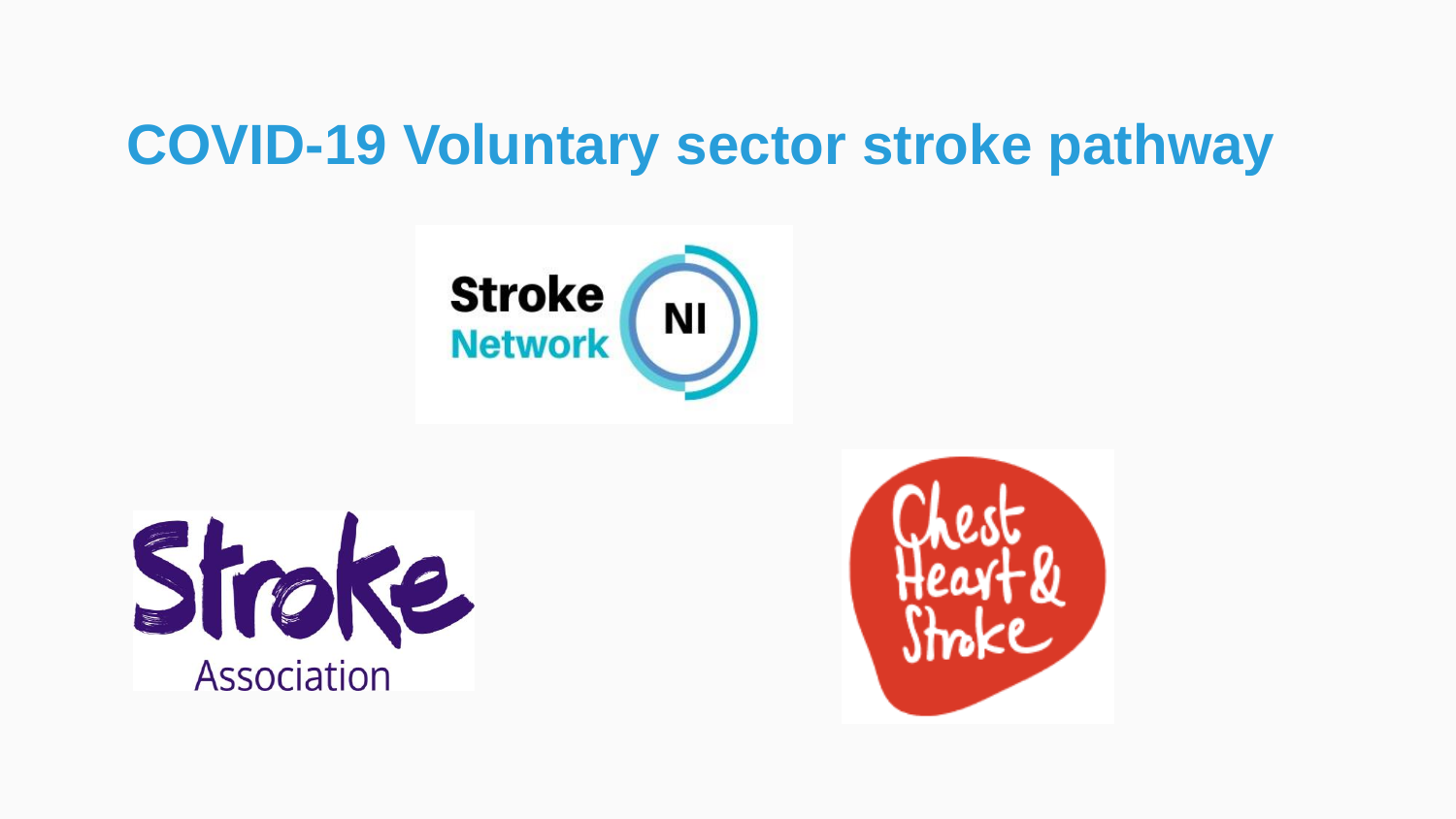## **COVID-19 Voluntary sector stroke pathway**





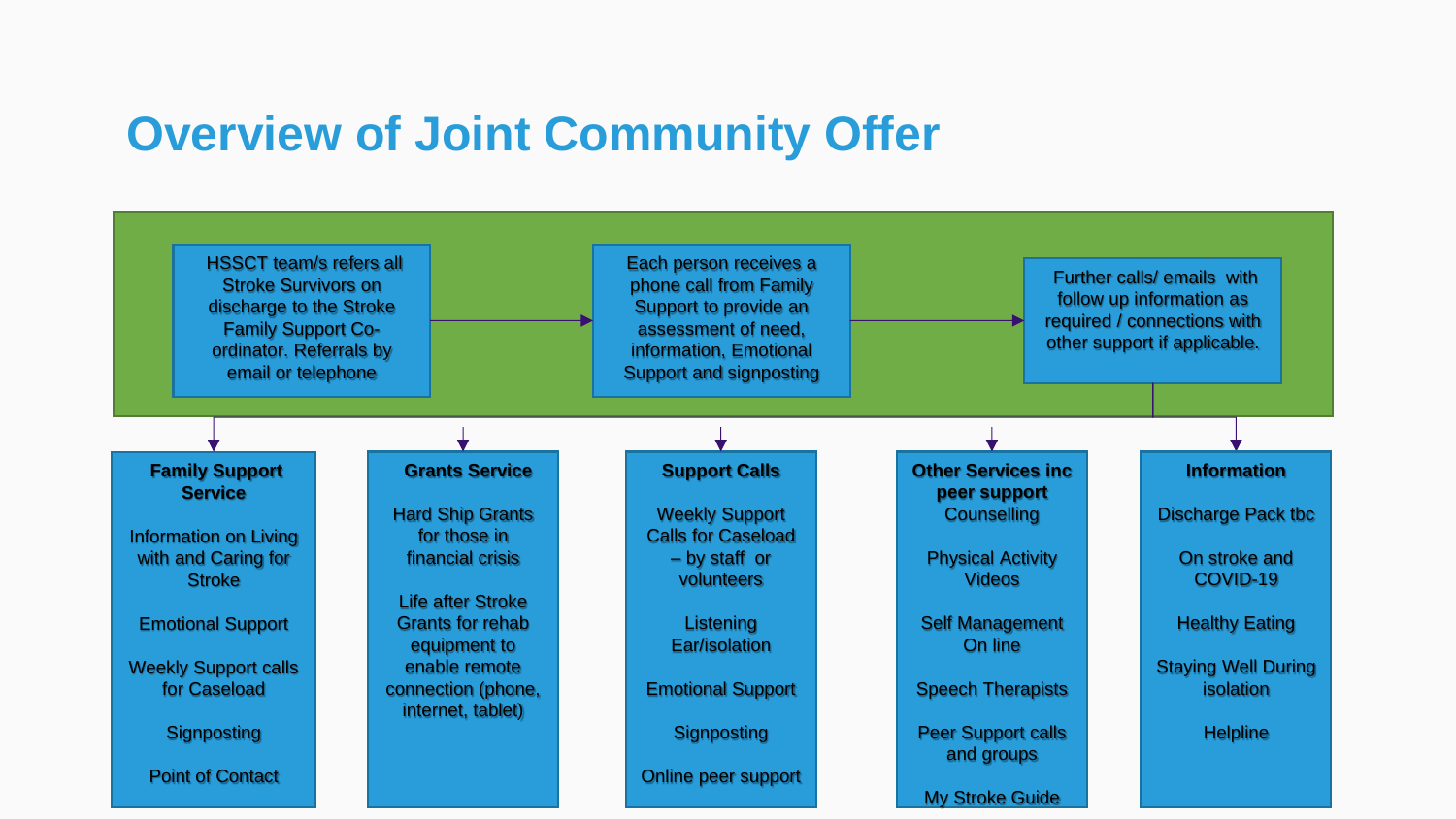### **Overview of Joint Community Offer**

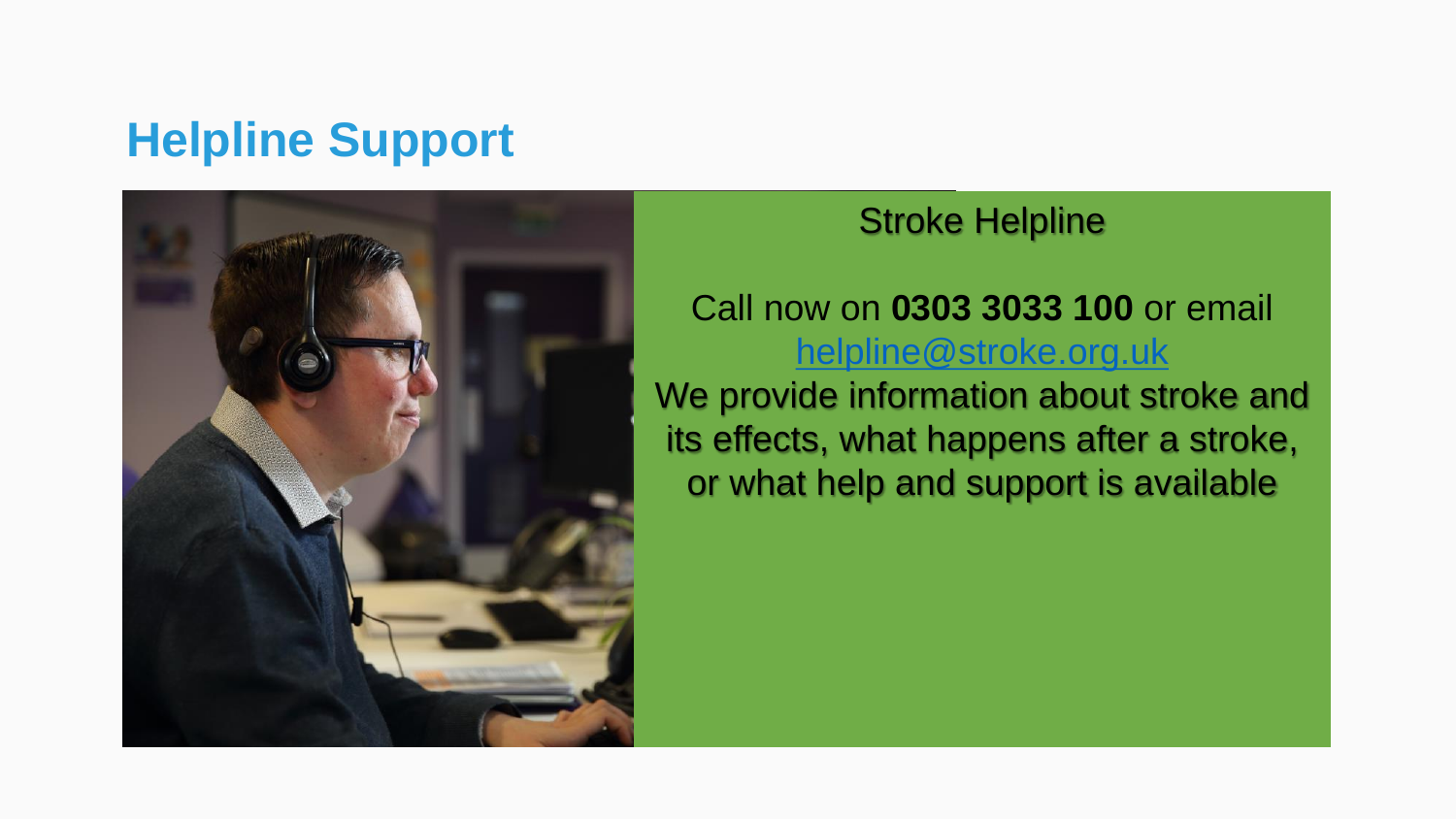### **Helpline Support**



#### Stroke Helpline

#### Call now on **0303 3033 100** or email [helpline@stroke.org.uk](mailto:helpline@stroke.org.uk)

We provide information about stroke and its effects, what happens after a stroke, or what help and support is available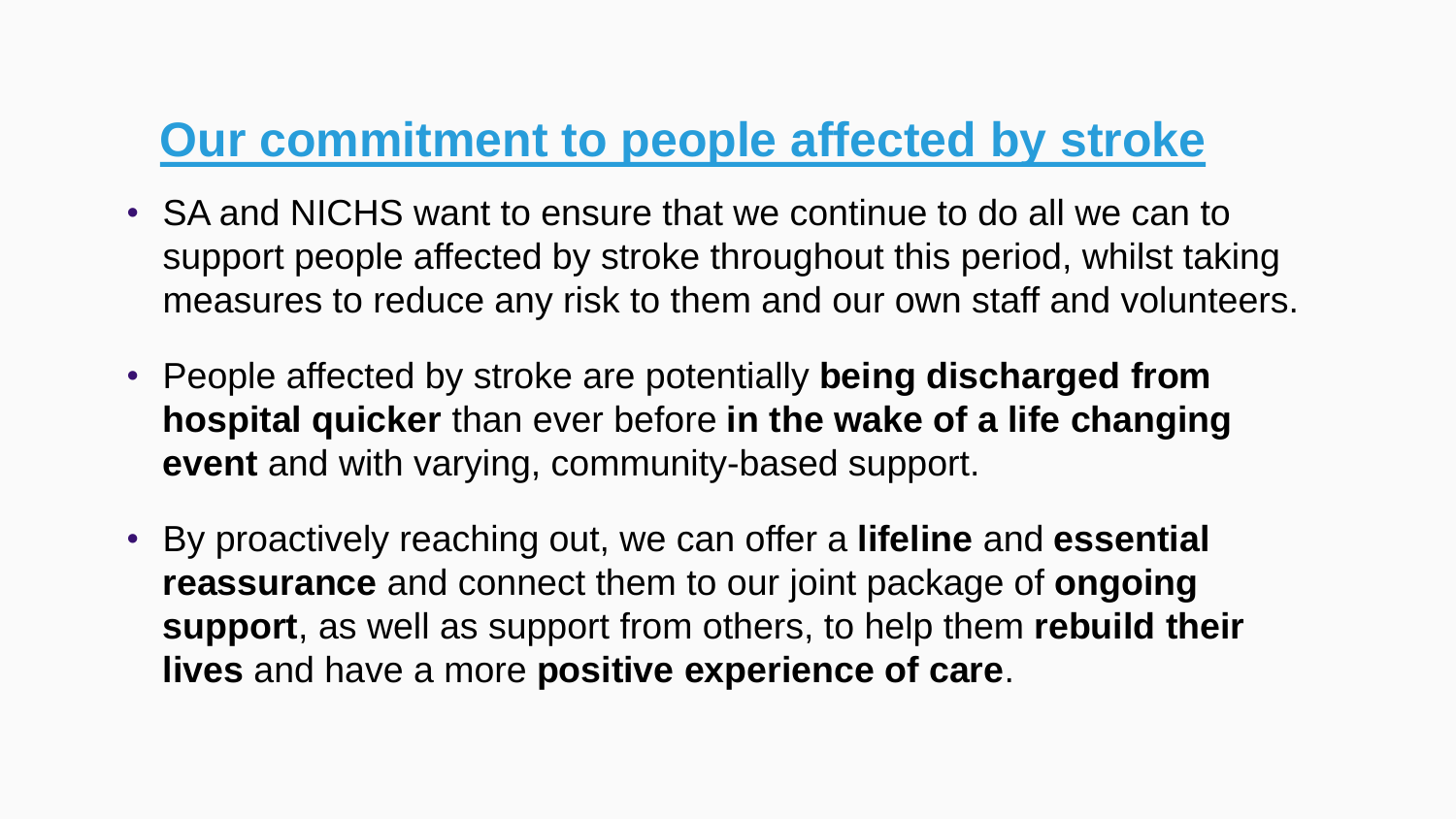### **Our commitment to people affected by stroke**

- SA and NICHS want to ensure that we continue to do all we can to support people affected by stroke throughout this period, whilst taking measures to reduce any risk to them and our own staff and volunteers.
- People affected by stroke are potentially **being discharged from hospital quicker** than ever before **in the wake of a life changing event** and with varying, community-based support.
- By proactively reaching out, we can offer a **lifeline** and **essential reassurance** and connect them to our joint package of **ongoing support**, as well as support from others, to help them **rebuild their lives** and have a more **positive experience of care**.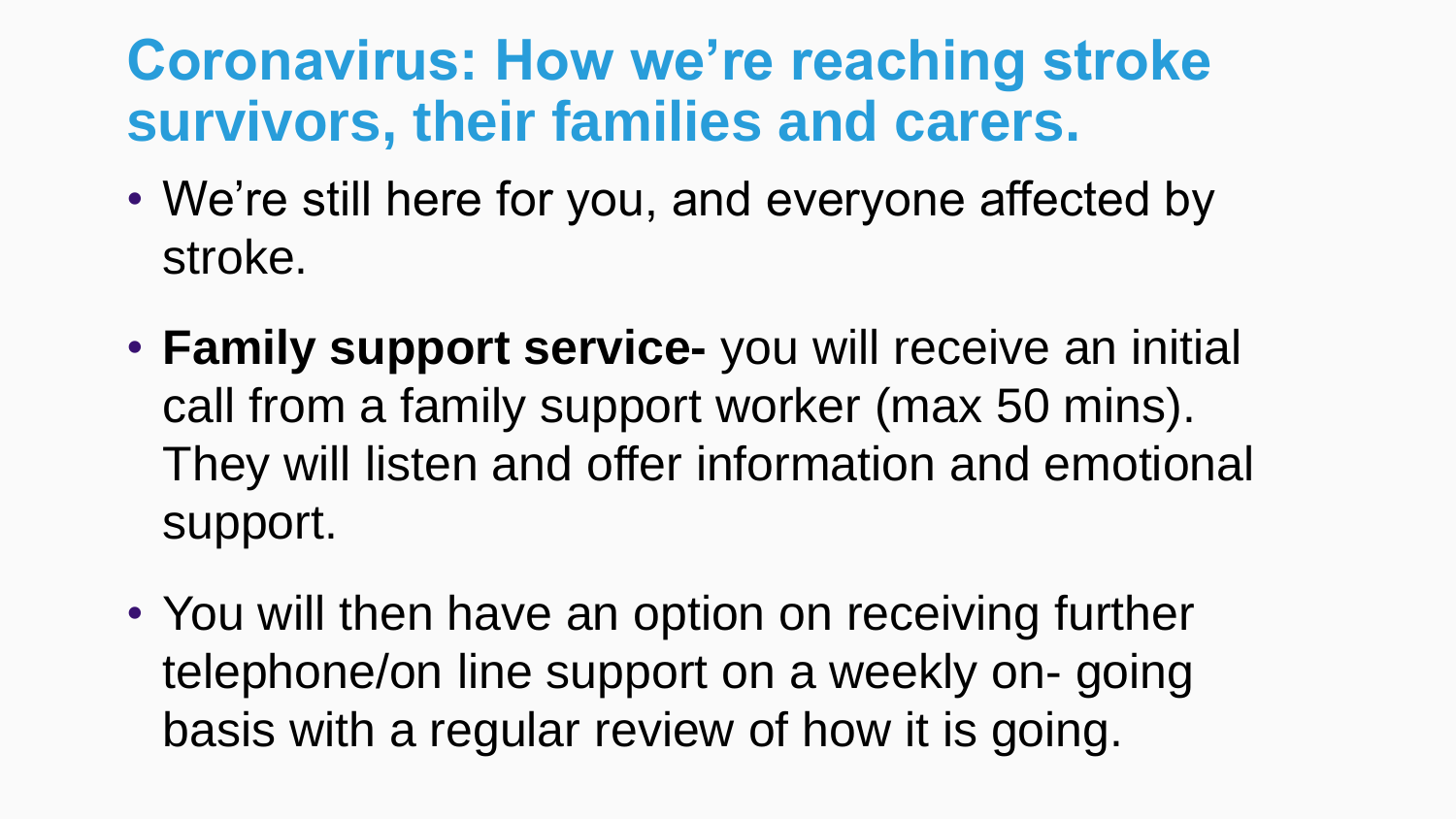## **Coronavirus: How we're reaching stroke survivors, their families and carers.**

- We're still here for you, and everyone affected by stroke.
- **Family support service-** you will receive an initial call from a family support worker (max 50 mins). They will listen and offer information and emotional support.
- You will then have an option on receiving further telephone/on line support on a weekly on- going basis with a regular review of how it is going.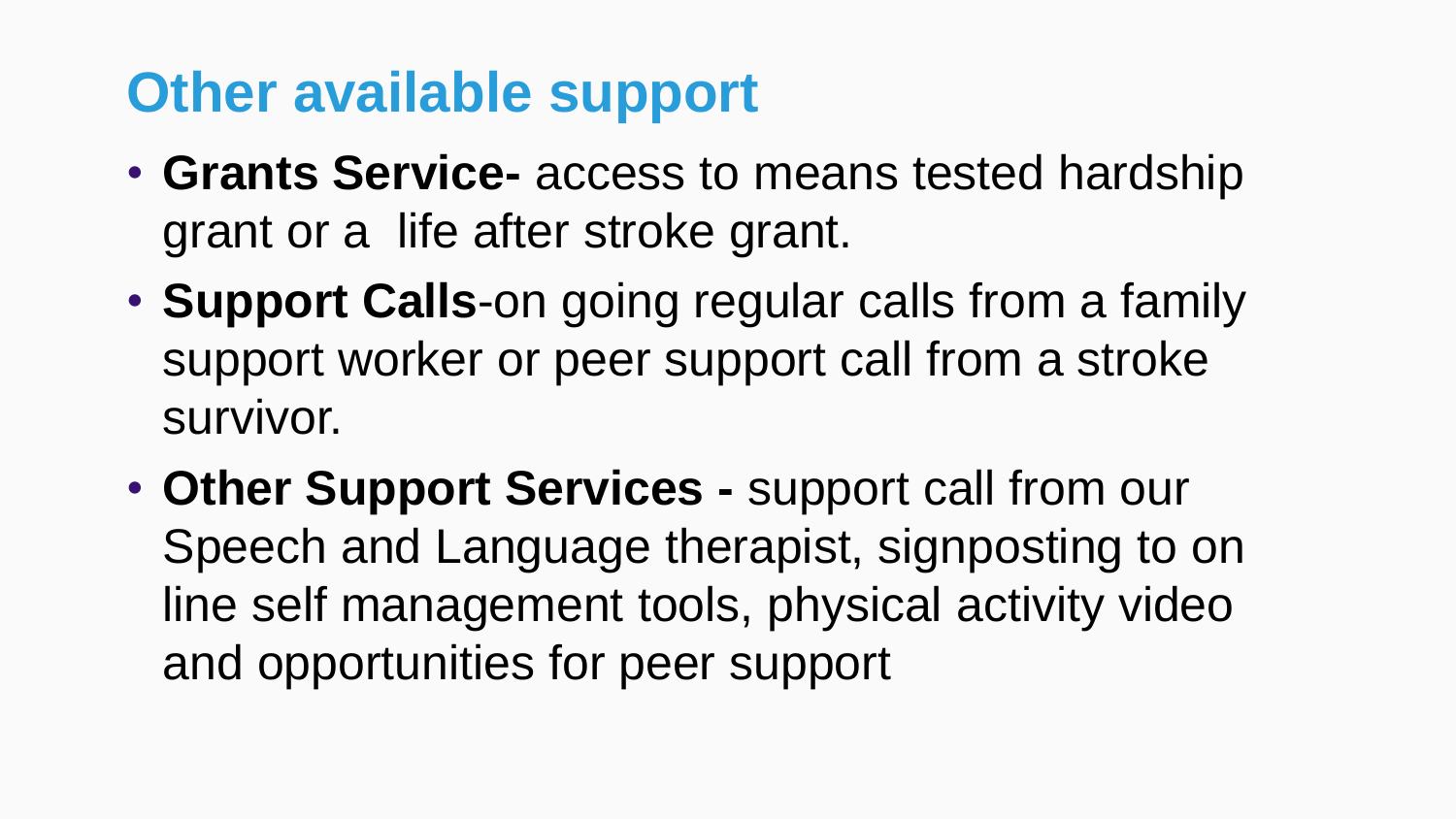## **Other available support**

- **Grants Service-** access to means tested hardship grant or a life after stroke grant.
- **Support Calls**-on going regular calls from a family support worker or peer support call from a stroke survivor.
- **Other Support Services -** support call from our Speech and Language therapist, signposting to on line self management tools, physical activity video and opportunities for peer support